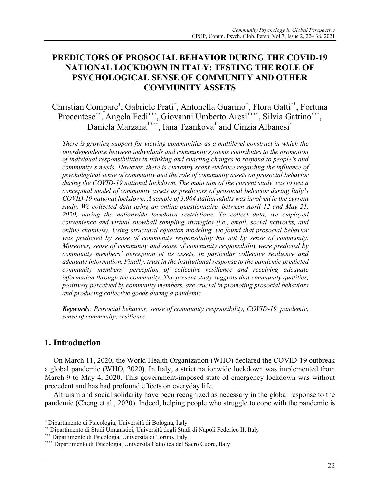# **PREDICTORS OF PROSOCIAL BEHAVIOR DURING THE COVID-19 NATIONAL LOCKDOWN IN ITALY: TESTING THE ROLE OF PSYCHOLOGICAL SENSE OF COMMUNITY AND OTHER COMMUNITY ASSETS**

Christian Compare\* , Gabriele Prati\* , Antonella Guarino\* , Flora Gatti\*\*, Fortuna Procentese\*\*, Angela Fedi\*\*\*, Giovanni Umberto Aresi\*\*\*\*, Silvia Gattino\*\*\*, Daniela Marzana\*\*\*\*, Iana Tzankova\* and Cinzia Albanesi\*

*There is growing support for viewing communities as a multilevel construct in which the interdependence between individuals and community systems contributes to the promotion of individual responsibilities in thinking and enacting changes to respond to people's and community's needs. However, there is currently scant evidence regarding the influence of psychological sense of community and the role of community assets on prosocial behavior during the COVID-19 national lockdown. The main aim of the current study was to test a conceptual model of community assets as predictors of prosocial behavior during Italy's COVID-19 national lockdown. A sample of 3,964 Italian adults was involved in the current study. We collected data using an online questionnaire, between April 12 and May 21, 2020, during the nationwide lockdown restrictions. To collect data, we employed convenience and virtual snowball sampling strategies (i.e., email, social networks, and online channels). Using structural equation modeling, we found that prosocial behavior was predicted by sense of community responsibility but not by sense of community. Moreover, sense of community and sense of community responsibility were predicted by community members' perception of its assets, in particular collective resilience and adequate information. Finally, trust in the institutional response to the pandemic predicted community members' perception of collective resilience and receiving adequate information through the community. The present study suggests that community qualities, positively perceived by community members, are crucial in promoting prosocial behaviors and producing collective goods during a pandemic.* 

*Keywords: Prosocial behavior, sense of community responsibility, COVID-19, pandemic, sense of community, resilience*

# **1. Introduction**

On March 11, 2020, the World Health Organization (WHO) declared the COVID-19 outbreak a global pandemic (WHO, 2020). In Italy, a strict nationwide lockdown was implemented from March 9 to May 4, 2020. This government-imposed state of emergency lockdown was without precedent and has had profound effects on everyday life.

Altruism and social solidarity have been recognized as necessary in the global response to the pandemic (Cheng et al., 2020). Indeed, helping people who struggle to cope with the pandemic is

<sup>\*</sup> Dipartimento di Psicologia, Università di Bologna, Italy

<sup>\*\*</sup> Dipartimento di Studi Umanistici, Università degli Studi di Napoli Federico II, Italy

<sup>\*\*\*</sup> Dipartimento di Psicologia, Università di Torino, Italy

<sup>\*\*\*\*</sup> Dipartimento di Psicologia, Università Cattolica del Sacro Cuore, Italy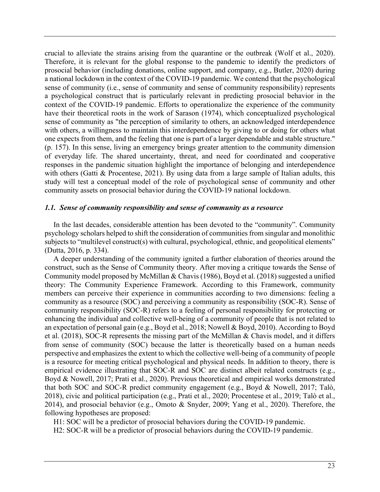crucial to alleviate the strains arising from the quarantine or the outbreak (Wolf et al., 2020). Therefore, it is relevant for the global response to the pandemic to identify the predictors of prosocial behavior (including donations, online support, and company, e.g., Butler, 2020) during a national lockdown in the context of the COVID-19 pandemic. We contend that the psychological sense of community (i.e., sense of community and sense of community responsibility) represents a psychological construct that is particularly relevant in predicting prosocial behavior in the context of the COVID-19 pandemic. Efforts to operationalize the experience of the community have their theoretical roots in the work of Sarason (1974), which conceptualized psychological sense of community as "the perception of similarity to others, an acknowledged interdependence with others, a willingness to maintain this interdependence by giving to or doing for others what one expects from them, and the feeling that one is part of a larger dependable and stable structure." (p. 157). In this sense, living an emergency brings greater attention to the community dimension of everyday life. The shared uncertainty, threat, and need for coordinated and cooperative responses in the pandemic situation highlight the importance of belonging and interdependence with others (Gatti & Procentese, 2021). By using data from a large sample of Italian adults, this study will test a conceptual model of the role of psychological sense of community and other community assets on prosocial behavior during the COVID-19 national lockdown.

### *1.1. Sense of community responsibility and sense of community as a resource*

In the last decades, considerable attention has been devoted to the "community". Community psychology scholars helped to shift the consideration of communities from singular and monolithic subjects to "multilevel construct(s) with cultural, psychological, ethnic, and geopolitical elements" (Dutta, 2016, p. 334).

A deeper understanding of the community ignited a further elaboration of theories around the construct, such as the Sense of Community theory. After moving a critique towards the Sense of Community model proposed by McMillan & Chavis (1986), Boyd et al. (2018) suggested a unified theory: The Community Experience Framework. According to this Framework, community members can perceive their experience in communities according to two dimensions: feeling a community as a resource (SOC) and perceiving a community as responsibility (SOC-R). Sense of community responsibility (SOC-R) refers to a feeling of personal responsibility for protecting or enhancing the individual and collective well-being of a community of people that is not related to an expectation of personal gain (e.g., Boyd et al., 2018; Nowell & Boyd, 2010). According to Boyd et al. (2018), SOC-R represents the missing part of the McMillan & Chavis model, and it differs from sense of community (SOC) because the latter is theoretically based on a human needs perspective and emphasizes the extent to which the collective well-being of a community of people is a resource for meeting critical psychological and physical needs. In addition to theory, there is empirical evidence illustrating that SOC-R and SOC are distinct albeit related constructs (e.g., Boyd & Nowell, 2017; Prati et al., 2020). Previous theoretical and empirical works demonstrated that both SOC and SOC-R predict community engagement (e.g., Boyd & Nowell, 2017; Talò, 2018), civic and political participation (e.g., Prati et al., 2020; Procentese et al., 2019; Talò et al., 2014), and prosocial behavior (e.g., Omoto & Snyder, 2009; Yang et al., 2020). Therefore, the following hypotheses are proposed:

H1: SOC will be a predictor of prosocial behaviors during the COVID-19 pandemic.

H2: SOC-R will be a predictor of prosocial behaviors during the COVID-19 pandemic.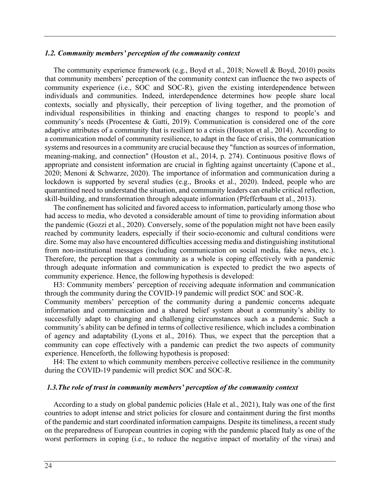### *1.2. Community members' perception of the community context*

The community experience framework (e.g., Boyd et al., 2018; Nowell & Boyd, 2010) posits that community members' perception of the community context can influence the two aspects of community experience (i.e., SOC and SOC-R), given the existing interdependence between individuals and communities. Indeed, interdependence determines how people share local contexts, socially and physically, their perception of living together, and the promotion of individual responsibilities in thinking and enacting changes to respond to people's and community's needs (Procentese & Gatti, 2019). Communication is considered one of the core adaptive attributes of a community that is resilient to a crisis (Houston et al., 2014). According to a communication model of community resilience, to adapt in the face of crisis, the communication systems and resources in a community are crucial because they "function as sources of information, meaning-making, and connection" (Houston et al., 2014, p. 274). Continuous positive flows of appropriate and consistent information are crucial in fighting against uncertainty (Capone et al., 2020; Menoni & Schwarze, 2020). The importance of information and communication during a lockdown is supported by several studies (e.g., Brooks et al., 2020). Indeed, people who are quarantined need to understand the situation, and community leaders can enable critical reflection, skill-building, and transformation through adequate information (Pfefferbaum et al., 2013).

The confinement has solicited and favored access to information, particularly among those who had access to media, who devoted a considerable amount of time to providing information about the pandemic (Gozzi et al., 2020). Conversely, some of the population might not have been easily reached by community leaders, especially if their socio-economic and cultural conditions were dire. Some may also have encountered difficulties accessing media and distinguishing institutional from non-institutional messages (including communication on social media, fake news, etc.). Therefore, the perception that a community as a whole is coping effectively with a pandemic through adequate information and communication is expected to predict the two aspects of community experience. Hence, the following hypothesis is developed:

H3: Community members' perception of receiving adequate information and communication through the community during the COVID-19 pandemic will predict SOC and SOC-R.

Community members' perception of the community during a pandemic concerns adequate information and communication and a shared belief system about a community's ability to successfully adapt to changing and challenging circumstances such as a pandemic. Such a community's ability can be defined in terms of collective resilience, which includes a combination of agency and adaptability (Lyons et al., 2016). Thus, we expect that the perception that a community can cope effectively with a pandemic can predict the two aspects of community experience. Henceforth, the following hypothesis is proposed:

H4: The extent to which community members perceive collective resilience in the community during the COVID-19 pandemic will predict SOC and SOC-R.

#### *1.3.The role of trust in community members' perception of the community context*

According to a study on global pandemic policies (Hale et al., 2021), Italy was one of the first countries to adopt intense and strict policies for closure and containment during the first months of the pandemic and start coordinated information campaigns. Despite its timeliness, a recent study on the preparedness of European countries in coping with the pandemic placed Italy as one of the worst performers in coping (i.e., to reduce the negative impact of mortality of the virus) and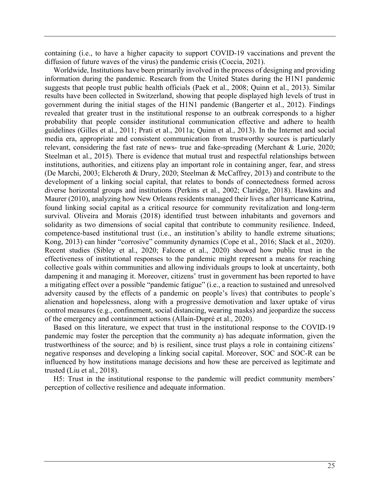containing (i.e., to have a higher capacity to support COVID-19 vaccinations and prevent the diffusion of future waves of the virus) the pandemic crisis (Coccia, 2021).

Worldwide, Institutions have been primarily involved in the process of designing and providing information during the pandemic. Research from the United States during the H1N1 pandemic suggests that people trust public health officials (Paek et al., 2008; Quinn et al., 2013). Similar results have been collected in Switzerland, showing that people displayed high levels of trust in government during the initial stages of the H1N1 pandemic (Bangerter et al., 2012). Findings revealed that greater trust in the institutional response to an outbreak corresponds to a higher probability that people consider institutional communication effective and adhere to health guidelines (Gilles et al., 2011; Prati et al., 2011a; Quinn et al., 2013). In the Internet and social media era, appropriate and consistent communication from trustworthy sources is particularly relevant, considering the fast rate of news- true and fake-spreading (Merchant & Lurie, 2020; Steelman et al., 2015). There is evidence that mutual trust and respectful relationships between institutions, authorities, and citizens play an important role in containing anger, fear, and stress (De Marchi, 2003; Elcheroth & Drury, 2020; Steelman & McCaffrey, 2013) and contribute to the development of a linking social capital, that relates to bonds of connectedness formed across diverse horizontal groups and institutions (Perkins et al., 2002; Claridge, 2018). Hawkins and Maurer (2010), analyzing how New Orleans residents managed their lives after hurricane Katrina, found linking social capital as a critical resource for community revitalization and long-term survival. Oliveira and Morais (2018) identified trust between inhabitants and governors and solidarity as two dimensions of social capital that contribute to community resilience. Indeed, competence-based institutional trust (i.e., an institution's ability to handle extreme situations; Kong, 2013) can hinder "corrosive" community dynamics (Cope et al., 2016; Slack et al., 2020). Recent studies (Sibley et al., 2020; Falcone et al., 2020) showed how public trust in the effectiveness of institutional responses to the pandemic might represent a means for reaching collective goals within communities and allowing individuals groups to look at uncertainty, both dampening it and managing it. Moreover, citizens' trust in government has been reported to have a mitigating effect over a possible "pandemic fatigue" (i.e., a reaction to sustained and unresolved adversity caused by the effects of a pandemic on people's lives) that contributes to people's alienation and hopelessness, along with a progressive demotivation and laxer uptake of virus control measures (e.g., confinement, social distancing, wearing masks) and jeopardize the success of the emergency and containment actions (Allain-Dupré et al., 2020).

Based on this literature, we expect that trust in the institutional response to the COVID-19 pandemic may foster the perception that the community a) has adequate information, given the trustworthiness of the source; and b) is resilient, since trust plays a role in containing citizens' negative responses and developing a linking social capital. Moreover, SOC and SOC-R can be influenced by how institutions manage decisions and how these are perceived as legitimate and trusted (Liu et al., 2018).

H5: Trust in the institutional response to the pandemic will predict community members' perception of collective resilience and adequate information.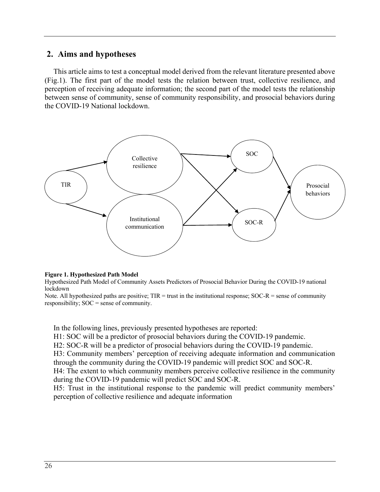# **2. Aims and hypotheses**

This article aims to test a conceptual model derived from the relevant literature presented above (Fig.1). The first part of the model tests the relation between trust, collective resilience, and perception of receiving adequate information; the second part of the model tests the relationship between sense of community, sense of community responsibility, and prosocial behaviors during the COVID-19 National lockdown.



#### **Figure 1. Hypothesized Path Model**

Hypothesized Path Model of Community Assets Predictors of Prosocial Behavior During the COVID-19 national lockdown

Note. All hypothesized paths are positive;  $TIR =$  trust in the institutional response;  $SOC-R =$  sense of community responsibility; SOC = sense of community.

In the following lines, previously presented hypotheses are reported:

H1: SOC will be a predictor of prosocial behaviors during the COVID-19 pandemic.

H2: SOC-R will be a predictor of prosocial behaviors during the COVID-19 pandemic.

H3: Community members' perception of receiving adequate information and communication through the community during the COVID-19 pandemic will predict SOC and SOC-R.

H4: The extent to which community members perceive collective resilience in the community during the COVID-19 pandemic will predict SOC and SOC-R.

H5: Trust in the institutional response to the pandemic will predict community members' perception of collective resilience and adequate information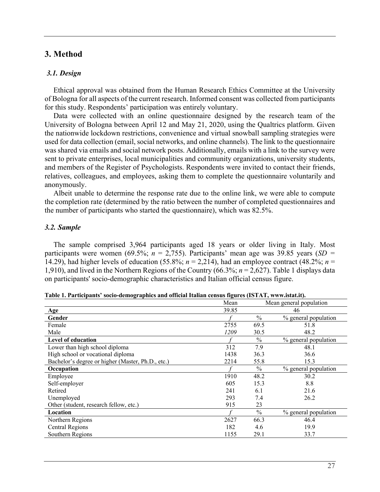# **3. Method**

### *3.1. Design*

Ethical approval was obtained from the Human Research Ethics Committee at the University of Bologna for all aspects of the current research. Informed consent was collected from participants for this study. Respondents' participation was entirely voluntary.

Data were collected with an online questionnaire designed by the research team of the University of Bologna between April 12 and May 21, 2020, using the Qualtrics platform. Given the nationwide lockdown restrictions, convenience and virtual snowball sampling strategies were used for data collection (email, social networks, and online channels). The link to the questionnaire was shared via emails and social network posts. Additionally, emails with a link to the survey were sent to private enterprises, local municipalities and community organizations, university students, and members of the Register of Psychologists. Respondents were invited to contact their friends, relatives, colleagues, and employees, asking them to complete the questionnaire voluntarily and anonymously.

Albeit unable to determine the response rate due to the online link, we were able to compute the completion rate (determined by the ratio between the number of completed questionnaires and the number of participants who started the questionnaire), which was 82.5%.

### *3.2. Sample*

The sample comprised 3,964 participants aged 18 years or older living in Italy. Most participants were women (69.5%; *n* = 2,755). Participants' mean age was 39.85 years (*SD =* 14.29), had higher levels of education (55.8%;  $n = 2,214$ ), had an employee contract (48.2%;  $n =$ 1,910), and lived in the Northern Regions of the Country (66.3%; *n* = 2,627). Table 1 displays data on participants' socio-demographic characteristics and Italian official census figure.

|                                                   | Mean  | Mean general population |                      |  |  |  |
|---------------------------------------------------|-------|-------------------------|----------------------|--|--|--|
| Age                                               | 39.85 | 46                      |                      |  |  |  |
| Gender                                            |       | $\frac{0}{0}$           | % general population |  |  |  |
| Female                                            | 2755  | 69.5                    | 51.8                 |  |  |  |
| Male                                              | 1209  | 30.5                    | 48.2                 |  |  |  |
| <b>Level of education</b>                         |       | $\%$                    | % general population |  |  |  |
| Lower than high school diploma                    | 312   | 7.9                     | 48.1                 |  |  |  |
| High school or vocational diploma                 | 1438  | 36.3                    | 36.6                 |  |  |  |
| Bachelor's degree or higher (Master, Ph.D., etc.) | 2214  | 55.8                    | 15.3                 |  |  |  |
| Occupation                                        |       | $\frac{0}{0}$           | % general population |  |  |  |
| Employee                                          | 1910  | 48.2                    | 30.2                 |  |  |  |
| Self-employer                                     | 605   | 15.3                    | 8.8                  |  |  |  |
| Retired                                           | 241   | 6.1                     | 21.6                 |  |  |  |
| Unemployed                                        | 293   | 7.4                     | 26.2                 |  |  |  |
| Other (student, research fellow, etc.)            | 915   | 23                      |                      |  |  |  |
| Location                                          |       | $\frac{0}{0}$           | % general population |  |  |  |
| Northern Regions                                  | 2627  | 66.3                    | 46.4                 |  |  |  |
| Central Regions                                   | 182   | 4.6                     | 19.9                 |  |  |  |
| Southern Regions                                  | 1155  | 29.1                    | 33.7                 |  |  |  |

**Table 1. Participants' socio-demographics and official Italian census figures (ISTAT, www.istat.it).**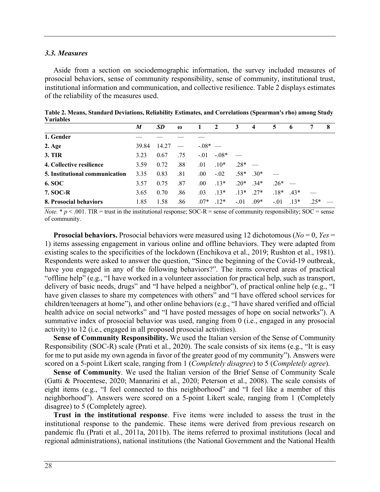#### *3.3. Measures*

Aside from a section on sociodemographic information, the survey included measures of prosocial behaviors, sense of community responsibility, sense of community, institutional trust, institutional information and communication, and collective resilience. Table 2 displays estimates of the reliability of the measures used.

| , ai iavivs                    |       |       |          |            |              |        |                 |        |             |        |   |
|--------------------------------|-------|-------|----------|------------|--------------|--------|-----------------|--------|-------------|--------|---|
|                                | M     | SD    | $\omega$ |            | $\mathbf{2}$ | 3      | $\overline{4}$  | 5      | $\mathbf b$ |        | 8 |
| 1. Gender                      |       |       |          |            |              |        |                 |        |             |        |   |
| $2. \text{Age}$                | 39.84 | 14.27 |          | $-0.08*$ — |              |        |                 |        |             |        |   |
| <b>3. TIR</b>                  | 3.23  | 0.67  | .75      | $-.01$     | $-.08*$      |        |                 |        |             |        |   |
| 4. Collective resilience       | 3.59  | 0.72  | .88      | .01        | $.10*$       | $.28*$ |                 |        |             |        |   |
| 5. Institutional communication | 3.35  | 0.83  | .81      | .00.       | $-.02$       |        | $.58*$ $.30*$   |        |             |        |   |
| <b>6. SOC</b>                  | 3.57  | 0.75  | .87      | .00.       | $.13*$       |        | $.20^*$ $.34^*$ | $.26*$ |             |        |   |
| <b>7. SOC-R</b>                | 3.65  | 0.70  | .86      | .03        | $.13*$       | $.13*$ | $27*$           | $.18*$ | $43*$       |        |   |
| 8. Prosocial behaviors         | 1.85  | 1.58  | .86      | $.07*$     | $.12*$       | $-.01$ | $.09*$          | $-.01$ | $.13*$      | $.25*$ |   |
|                                |       |       |          |            |              |        |                 |        |             |        |   |

**Table 2. Means, Standard Deviations, Reliability Estimates, and Correlations (Spearman's rho) among Study Variables**

*Note.*  $*$   $p$  < .001. TIR = trust in the institutional response; SOC-R = sense of community responsibility; SOC = sense of community.

**Prosocial behaviors.** Prosocial behaviors were measured using 12 dichotomous (*No* = 0, *Yes* = 1) items assessing engagement in various online and offline behaviors. They were adapted from existing scales to the specificities of the lockdown (Enchikova et al., 2019; Rushton et al., 1981). Respondents were asked to answer the question, "Since the beginning of the Covid-19 outbreak, have you engaged in any of the following behaviors?". The items covered areas of practical "offline help" (e.g., "I have worked in a volunteer association for practical help, such as transport, delivery of basic needs, drugs" and "I have helped a neighbor"), of practical online help (e.g., "I have given classes to share my competences with others" and "I have offered school services for children/teenagers at home"), and other online behaviors (e.g., "I have shared verified and official health advice on social networks" and "I have posted messages of hope on social networks"). A summative index of prosocial behavior was used, ranging from 0 (i.e., engaged in any prosocial activity) to 12 (i.e., engaged in all proposed prosocial activities).

**Sense of Community Responsibility.** We used the Italian version of the Sense of Community Responsibility (SOC-R) scale (Prati et al., 2020). The scale consists of six items (e.g., "It is easy for me to put aside my own agenda in favor of the greater good of my community"). Answers were scored on a 5-point Likert scale, ranging from 1 (*Completely disagree*) to 5 (*Completely agree*).

**Sense of Community**. We used the Italian version of the Brief Sense of Community Scale (Gatti & Procentese, 2020; Mannarini et al., 2020; Peterson et al., 2008). The scale consists of eight items (e.g., "I feel connected to this neighborhood" and "I feel like a member of this neighborhood"). Answers were scored on a 5-point Likert scale, ranging from 1 (Completely disagree) to 5 (Completely agree).

**Trust in the institutional response**. Five items were included to assess the trust in the institutional response to the pandemic. These items were derived from previous research on pandemic flu (Prati et al., 2011a, 2011b). The items referred to proximal institutions (local and regional administrations), national institutions (the National Government and the National Health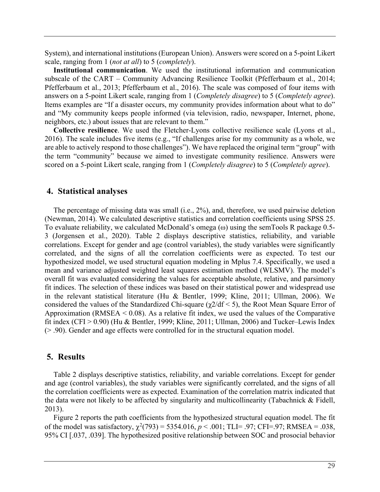System), and international institutions (European Union). Answers were scored on a 5-point Likert scale, ranging from 1 (*not at all*) to 5 (*completely*).

**Institutional communication**. We used the institutional information and communication subscale of the CART – Community Advancing Resilience Toolkit (Pfefferbaum et al., 2014; Pfefferbaum et al., 2013; Pfefferbaum et al., 2016). The scale was composed of four items with answers on a 5-point Likert scale, ranging from 1 (*Completely disagree*) to 5 (*Completely agree*). Items examples are "If a disaster occurs, my community provides information about what to do" and "My community keeps people informed (via television, radio, newspaper, Internet, phone, neighbors, etc.) about issues that are relevant to them."

**Collective resilience**. We used the Fletcher-Lyons collective resilience scale (Lyons et al., 2016). The scale includes five items (e.g., "If challenges arise for my community as a whole, we are able to actively respond to those challenges"). We have replaced the original term "group" with the term "community" because we aimed to investigate community resilience. Answers were scored on a 5-point Likert scale, ranging from 1 (*Completely disagree*) to 5 (*Completely agree*).

## **4. Statistical analyses**

The percentage of missing data was small (i.e., 2%), and, therefore, we used pairwise deletion (Newman, 2014). We calculated descriptive statistics and correlation coefficients using SPSS 25. To evaluate reliability, we calculated McDonald's omega ( $\omega$ ) using the semTools R package 0.5-3 (Jorgensen et al., 2020). Table 2 displays descriptive statistics, reliability, and variable correlations. Except for gender and age (control variables), the study variables were significantly correlated, and the signs of all the correlation coefficients were as expected. To test our hypothesized model, we used structural equation modeling in Mplus 7.4. Specifically, we used a mean and variance adjusted weighted least squares estimation method (WLSMV). The model's overall fit was evaluated considering the values for acceptable absolute, relative, and parsimony fit indices. The selection of these indices was based on their statistical power and widespread use in the relevant statistical literature (Hu & Bentler, 1999; Kline, 2011; Ullman, 2006). We considered the values of the Standardized Chi-square ( $\gamma$ 2/df < 5), the Root Mean Square Error of Approximation (RMSEA  $\leq$  0.08). As a relative fit index, we used the values of the Comparative fit index (CFI  $> 0.90$ ) (Hu & Bentler, 1999; Kline, 2011; Ullman, 2006) and Tucker–Lewis Index (> .90). Gender and age effects were controlled for in the structural equation model.

### **5. Results**

Table 2 displays descriptive statistics, reliability, and variable correlations. Except for gender and age (control variables), the study variables were significantly correlated, and the signs of all the correlation coefficients were as expected. Examination of the correlation matrix indicated that the data were not likely to be affected by singularity and multicollinearity (Tabachnick & Fidell, 2013).

Figure 2 reports the path coefficients from the hypothesized structural equation model. The fit of the model was satisfactory,  $\chi^2(793) = 5354.016$ ,  $p < .001$ ; TLI= .97; CFI=.97; RMSEA = .038, 95% CI [.037, .039]. The hypothesized positive relationship between SOC and prosocial behavior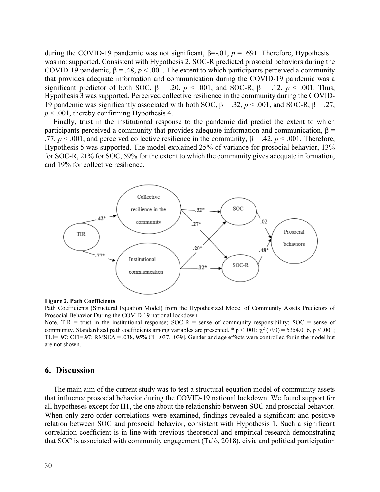during the COVID-19 pandemic was not significant, β=-.01, *p* = .691. Therefore, Hypothesis 1 was not supported. Consistent with Hypothesis 2, SOC-R predicted prosocial behaviors during the COVID-19 pandemic,  $\beta = .48$ ,  $p < .001$ . The extent to which participants perceived a community that provides adequate information and communication during the COVID-19 pandemic was a significant predictor of both SOC,  $\beta = .20$ ,  $p < .001$ , and SOC-R,  $\beta = .12$ ,  $p < .001$ . Thus, Hypothesis 3 was supported. Perceived collective resilience in the community during the COVID-19 pandemic was significantly associated with both SOC,  $β = .32$ ,  $p < .001$ , and SOC-R,  $β = .27$ , *p* < .001, thereby confirming Hypothesis 4.

Finally, trust in the institutional response to the pandemic did predict the extent to which participants perceived a community that provides adequate information and communication, β = .77,  $p < .001$ , and perceived collective resilience in the community,  $\beta = .42$ ,  $p < .001$ . Therefore, Hypothesis 5 was supported. The model explained 25% of variance for prosocial behavior, 13% for SOC-R, 21% for SOC, 59% for the extent to which the community gives adequate information, and 19% for collective resilience.



#### **Figure 2. Path Coefficients**

Path Coefficients (Structural Equation Model) from the Hypothesized Model of Community Assets Predictors of Prosocial Behavior During the COVID-19 national lockdown

Note. TIR = trust in the institutional response; SOC-R = sense of community responsibility; SOC = sense of community. Standardized path coefficients among variables are presented. \*  $p < .001$ ;  $\chi^2$  (793) = 5354.016,  $p < .001$ ; TLI= .97; CFI=.97; RMSEA = .038, 95% CI [.037, .039]. Gender and age effects were controlled for in the model but are not shown.

### **6. Discussion**

The main aim of the current study was to test a structural equation model of community assets that influence prosocial behavior during the COVID-19 national lockdown. We found support for all hypotheses except for H1, the one about the relationship between SOC and prosocial behavior. When only zero-order correlations were examined, findings revealed a significant and positive relation between SOC and prosocial behavior, consistent with Hypothesis 1. Such a significant correlation coefficient is in line with previous theoretical and empirical research demonstrating that SOC is associated with community engagement (Talò, 2018), civic and political participation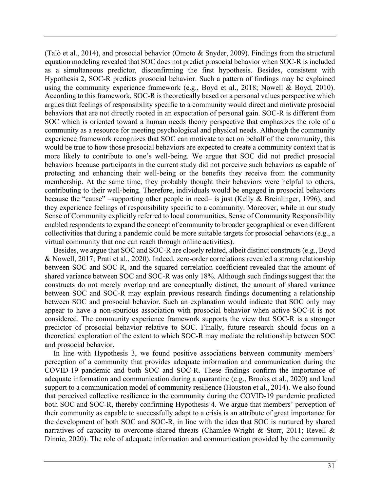(Talò et al., 2014), and prosocial behavior (Omoto & Snyder, 2009). Findings from the structural equation modeling revealed that SOC does not predict prosocial behavior when SOC-R is included as a simultaneous predictor, disconfirming the first hypothesis. Besides, consistent with Hypothesis 2, SOC-R predicts prosocial behavior. Such a pattern of findings may be explained using the community experience framework (e.g., Boyd et al., 2018; Nowell & Boyd, 2010). According to this framework, SOC-R is theoretically based on a personal values perspective which argues that feelings of responsibility specific to a community would direct and motivate prosocial behaviors that are not directly rooted in an expectation of personal gain. SOC-R is different from SOC which is oriented toward a human needs theory perspective that emphasizes the role of a community as a resource for meeting psychological and physical needs. Although the community experience framework recognizes that SOC can motivate to act on behalf of the community, this would be true to how those prosocial behaviors are expected to create a community context that is more likely to contribute to one's well-being. We argue that SOC did not predict prosocial behaviors because participants in the current study did not perceive such behaviors as capable of protecting and enhancing their well-being or the benefits they receive from the community membership. At the same time, they probably thought their behaviors were helpful to others, contributing to their well-being. Therefore, individuals would be engaged in prosocial behaviors because the "cause" –supporting other people in need– is just (Kelly & Breinlinger, 1996), and they experience feelings of responsibility specific to a community. Moreover, while in our study Sense of Community explicitly referred to local communities, Sense of Community Responsibility enabled respondents to expand the concept of community to broader geographical or even different collectivities that during a pandemic could be more suitable targets for prosocial behaviors (e.g., a virtual community that one can reach through online activities).

Besides, we argue that SOC and SOC-R are closely related, albeit distinct constructs (e.g., Boyd & Nowell, 2017; Prati et al., 2020). Indeed, zero-order correlations revealed a strong relationship between SOC and SOC-R, and the squared correlation coefficient revealed that the amount of shared variance between SOC and SOC-R was only 18%. Although such findings suggest that the constructs do not merely overlap and are conceptually distinct, the amount of shared variance between SOC and SOC-R may explain previous research findings documenting a relationship between SOC and prosocial behavior. Such an explanation would indicate that SOC only may appear to have a non-spurious association with prosocial behavior when active SOC-R is not considered. The community experience framework supports the view that SOC-R is a stronger predictor of prosocial behavior relative to SOC. Finally, future research should focus on a theoretical exploration of the extent to which SOC-R may mediate the relationship between SOC and prosocial behavior.

In line with Hypothesis 3, we found positive associations between community members' perception of a community that provides adequate information and communication during the COVID-19 pandemic and both SOC and SOC-R. These findings confirm the importance of adequate information and communication during a quarantine (e.g., Brooks et al., 2020) and lend support to a communication model of community resilience (Houston et al., 2014). We also found that perceived collective resilience in the community during the COVID-19 pandemic predicted both SOC and SOC-R, thereby confirming Hypothesis 4. We argue that members' perception of their community as capable to successfully adapt to a crisis is an attribute of great importance for the development of both SOC and SOC-R, in line with the idea that SOC is nurtured by shared narratives of capacity to overcome shared threats (Chamlee-Wright & Storr, 2011; Revell & Dinnie, 2020). The role of adequate information and communication provided by the community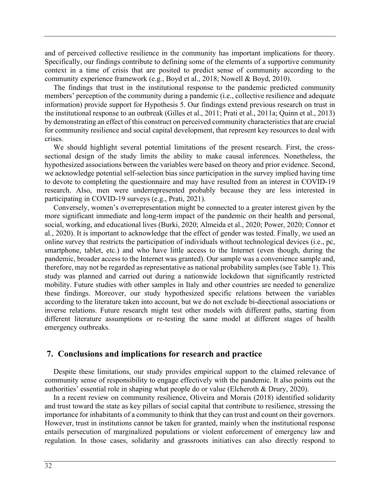and of perceived collective resilience in the community has important implications for theory. Specifically, our findings contribute to defining some of the elements of a supportive community context in a time of crisis that are posited to predict sense of community according to the community experience framework (e.g., Boyd et al., 2018; Nowell & Boyd, 2010).

The findings that trust in the institutional response to the pandemic predicted community members' perception of the community during a pandemic (i.e., collective resilience and adequate information) provide support for Hypothesis 5. Our findings extend previous research on trust in the institutional response to an outbreak (Gilles et al., 2011; Prati et al., 2011a; Quinn et al., 2013) by demonstrating an effect of this construct on perceived community characteristics that are crucial for community resilience and social capital development, that represent key resources to deal with crises.

We should highlight several potential limitations of the present research. First, the crosssectional design of the study limits the ability to make causal inferences. Nonetheless, the hypothesized associations between the variables were based on theory and prior evidence. Second, we acknowledge potential self-selection bias since participation in the survey implied having time to devote to completing the questionnaire and may have resulted from an interest in COVID-19 research. Also, men were underrepresented probably because they are less interested in participating in COVID-19 surveys (e.g., Prati, 2021).

Conversely, women's overrepresentation might be connected to a greater interest given by the more significant immediate and long-term impact of the pandemic on their health and personal, social, working, and educational lives (Burki, 2020; Almeida et al., 2020; Power, 2020; Connor et al., 2020). It is important to acknowledge that the effect of gender was tested. Finally, we used an online survey that restricts the participation of individuals without technological devices (i.e., pc, smartphone, tablet, etc.) and who have little access to the Internet (even though, during the pandemic, broader access to the Internet was granted). Our sample was a convenience sample and, therefore, may not be regarded as representative as national probability samples (see Table 1). This study was planned and carried out during a nationwide lockdown that significantly restricted mobility. Future studies with other samples in Italy and other countries are needed to generalize these findings. Moreover, our study hypothesized specific relations between the variables according to the literature taken into account, but we do not exclude bi-directional associations or inverse relations. Future research might test other models with different paths, starting from different literature assumptions or re-testing the same model at different stages of health emergency outbreaks.

### **7. Conclusions and implications for research and practice**

Despite these limitations, our study provides empirical support to the claimed relevance of community sense of responsibility to engage effectively with the pandemic. It also points out the authorities' essential role in shaping what people do or value (Elcheroth & Drury, 2020).

In a recent review on community resilience, Oliveira and Morais (2018) identified solidarity and trust toward the state as key pillars of social capital that contribute to resilience, stressing the importance for inhabitants of a community to think that they can trust and count on their governors. However, trust in institutions cannot be taken for granted, mainly when the institutional response entails persecution of marginalized populations or violent enforcement of emergency law and regulation. In those cases, solidarity and grassroots initiatives can also directly respond to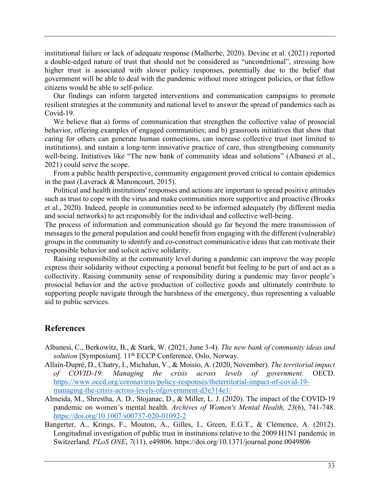institutional failure or lack of adequate response (Malherbe, 2020). Devine et al. (2021) reported a double-edged nature of trust that should not be considered as "unconditional", stressing how higher trust is associated with slower policy responses, potentially due to the belief that government will be able to deal with the pandemic without more stringent policies, or that fellow citizens would be able to self-police.

Our findings can inform targeted interventions and communication campaigns to promote resilient strategies at the community and national level to answer the spread of pandemics such as Covid-19.

We believe that a) forms of communication that strengthen the collective value of prosocial behavior, offering examples of engaged communities; and b) grassroots initiatives that show that caring for others can generate human connections, can increase collective trust (not limited to institutions), and sustain a long-term innovative practice of care, thus strengthening community well-being. Initiatives like "The new bank of community ideas and solutions" (Albanesi et al., 2021) could serve the scope.

From a public health perspective, community engagement proved critical to contain epidemics in the past (Laverack & Manoncourt, 2015).

Political and health institutions' responses and actions are important to spread positive attitudes such as trust to cope with the virus and make communities more supportive and proactive (Brooks et al., 2020). Indeed, people in communities need to be informed adequately (by different media and social networks) to act responsibly for the individual and collective well-being.

The process of information and communication should go far beyond the mere transmission of messages to the general population and could benefit from engaging with the different (vulnerable) groups in the community to identify and co-construct communicative ideas that can motivate their responsible behavior and solicit active solidarity.

Raising responsibility at the community level during a pandemic can improve the way people express their solidarity without expecting a personal benefit but feeling to be part of and act as a collectivity. Raising community sense of responsibility during a pandemic may favor people's prosocial behavior and the active production of collective goods and ultimately contribute to supporting people navigate through the harshness of the emergency, thus representing a valuable aid to public services.

# **References**

- Albanesi, C., Berkowitz, B., & Stark, W. (2021, June 3-4). *The new bank of community ideas and*  solution [Symposium]. 11<sup>th</sup> ECCP Conference, Oslo, Norway.
- Allain-Dupré, D., Chatry, I., Michalun, V., & Moisio, A. (2020, November). *The territorial impact of COVID-19: Managing the crisis across levels of government.* OECD. https://www.oecd.org/coronavirus/policy-responses/theterritorial-impact-of-covid-19 managing-the-crisis-across-levels-ofgovernment-d3e314e1/
- Almeida, M., Shrestha, A. D., Stojanac, D., & Miller, L. J. (2020). The impact of the COVID-19 pandemic on women's mental health. *Archives of Women's Mental Health, 23*(6), 741-748. https://doi.org/10.1007/s00737-020-01092-2
- Bangerter, A., Krings, F., Mouton, A., Gilles, I., Green, E.G.T., & Clémence, A. (2012). Longitudinal investigation of public trust in institutions relative to the 2009 H1N1 pandemic in Switzerland. *PLoS ONE*, *7*(11), e49806. https://doi.org/10.1371/journal.pone.0049806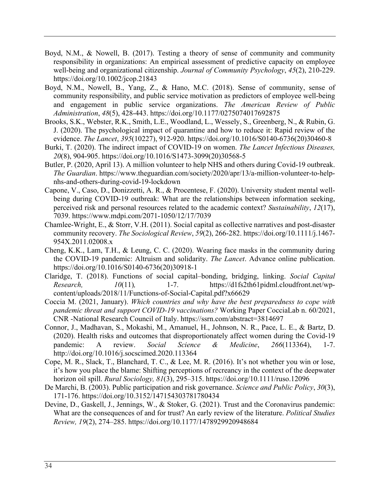- Boyd, N.M., & Nowell, B. (2017). Testing a theory of sense of community and community responsibility in organizations: An empirical assessment of predictive capacity on employee well‐being and organizational citizenship. *Journal of Community Psychology*, *45*(2), 210-229. https://doi.org/10.1002/jcop.21843
- Boyd, N.M., Nowell, B., Yang, Z., & Hano, M.C. (2018). Sense of community, sense of community responsibility, and public service motivation as predictors of employee well-being and engagement in public service organizations. *The American Review of Public Administration*, *48*(5), 428-443. https://doi.org/10.1177/0275074017692875
- Brooks, S.K., Webster, R.K., Smith, L.E., Woodland, L., Wessely, S., Greenberg, N., & Rubin, G. J. (2020). The psychological impact of quarantine and how to reduce it: Rapid review of the evidence. *The Lancet*, *395*(10227), 912-920. https://doi.org/10.1016/S0140-6736(20)30460-8
- Burki, T. (2020). The indirect impact of COVID-19 on women. *The Lancet Infectious Diseases, 20*(8), 904-905. https://doi.org/10.1016/S1473-3099(20)30568-5
- Butler, P. (2020, April 13). A million volunteer to help NHS and others during Covid-19 outbreak. *The Guardian*. https://www.theguardian.com/society/2020/apr/13/a-million-volunteer-to-helpnhs-and-others-during-covid-19-lockdown
- Capone, V., Caso, D., Donizzetti, A. R., & Procentese, F. (2020). University student mental wellbeing during COVID-19 outbreak: What are the relationships between information seeking, perceived risk and personal resources related to the academic context? *Sustainability*, *12*(17), 7039. https://www.mdpi.com/2071-1050/12/17/7039
- Chamlee-Wright, E., & Storr, V.H. (2011). Social capital as collective narratives and post-disaster community recovery. *The Sociological Review*, *59*(2), 266-282. https://doi.org/10.1111/j.1467- 954X.2011.02008.x
- Cheng, K.K., Lam, T.H., & Leung, C. C. (2020). Wearing face masks in the community during the COVID-19 pandemic: Altruism and solidarity. *The Lancet*. Advance online publication. https://doi.org/10.1016/S0140-6736(20)30918-1
- Claridge, T. (2018). Functions of social capital–bonding, bridging, linking. *Social Capital Research, 10*(11), 1-7. https://d1fs2th61pidml.cloudfront.net/wpcontent/uploads/2018/11/Functions-of-Social-Capital.pdf?x66629
- Coccia M. (2021, January). *Which countries and why have the best preparedness to cope with pandemic threat and support COVID-19 vaccinations?* Working Paper CocciaLab n. 60/2021, CNR -National Research Council of Italy. https://ssrn.com/abstract=3814697
- Connor, J., Madhavan, S., Mokashi, M., Amanuel, H., Johnson, N. R., Pace, L. E., & Bartz, D. (2020). Health risks and outcomes that disproportionately affect women during the Covid-19 pandemic: A review. *Social Science & Medicine*, *266*(113364), 1-7. http://doi.org/10.1016/j.socscimed.2020.113364
- Cope, M. R., Slack, T., Blanchard, T. C., & Lee, M. R. (2016). It's not whether you win or lose, it's how you place the blame: Shifting perceptions of recreancy in the context of the deepwater horizon oil spill. *Rural Sociology, 81*(3), 295–315. https://doi.org/10.1111/ruso.12096
- De Marchi, B. (2003). Public participation and risk governance. *Science and Public Policy*, *30*(3), 171-176. https://doi.org/10.3152/147154303781780434
- Devine, D., Gaskell, J., Jennings, W., & Stoker, G. (2021). Trust and the Coronavirus pandemic: What are the consequences of and for trust? An early review of the literature. *Political Studies Review, 19*(2), 274–285. https://doi.org/10.1177/1478929920948684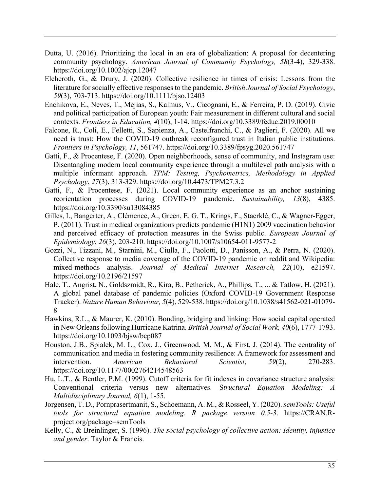- Dutta, U. (2016). Prioritizing the local in an era of globalization: A proposal for decentering community psychology. *American Journal of Community Psychology, 58*(3-4), 329-338. https://doi.org/10.1002/ajcp.12047
- Elcheroth, G., & Drury, J. (2020). Collective resilience in times of crisis: Lessons from the literature for socially effective responses to the pandemic. *British Journal of Social Psychology*, *59*(3), 703-713. https://doi.org/10.1111/bjso.12403
- Enchikova, E., Neves, T., Mejias, S., Kalmus, V., Cicognani, E., & Ferreira, P. D. (2019). Civic and political participation of European youth: Fair measurement in different cultural and social contexts. *Frontiers in Education, 4*(10), 1-14. https://doi.org/10.3389/feduc.2019.00010
- Falcone, R., Colì, E., Felletti, S., Sapienza, A., Castelfranchi, C., & Paglieri, F. (2020). All we need is trust: How the COVID-19 outbreak reconfigured trust in Italian public institutions. *Frontiers in Psychology, 11*, 561747. https://doi.org/10.3389/fpsyg.2020.561747
- Gatti, F., & Procentese, F. (2020). Open neighborhoods, sense of community, and Instagram use: Disentangling modern local community experience through a multilevel path analysis with a multiple informant approach. *TPM: Testing, Psychometrics, Methodology in Applied Psychology*, *27*(3), 313-329. https://doi.org/10.4473/TPM27.3.2
- Gatti, F., & Procentese, F. (2021). Local community experience as an anchor sustaining reorientation processes during COVID-19 pandemic. *Sustainability, 13*(8), 4385. https://doi.org/10.3390/su13084385
- Gilles, I., Bangerter, A., Clémence, A., Green, E. G. T., Krings, F., Staerklé, C., & Wagner-Egger, P. (2011). Trust in medical organizations predicts pandemic (H1N1) 2009 vaccination behavior and perceived efficacy of protection measures in the Swiss public. *European Journal of Epidemiology*, *26*(3), 203-210. https://doi.org/10.1007/s10654-011-9577-2
- Gozzi, N., Tizzani, M., Starnini, M., Ciulla, F., Paolotti, D., Panisson, A., & Perra, N. (2020). Collective response to media coverage of the COVID-19 pandemic on reddit and Wikipedia: mixed-methods analysis. *Journal of Medical Internet Research, 22*(10), e21597. https://doi.org/10.2196/21597
- Hale, T., Angrist, N., Goldszmidt, R., Kira, B., Petherick, A., Phillips, T., ... & Tatlow, H. (2021). A global panel database of pandemic policies (Oxford COVID-19 Government Response Tracker). *Nature Human Behaviour, 5*(4), 529-538. https://doi.org/10.1038/s41562-021-01079- 8
- Hawkins, R.L., & Maurer, K. (2010). Bonding, bridging and linking: How social capital operated in New Orleans following Hurricane Katrina. *British Journal of Social Work, 40*(6), 1777-1793. https://doi.org/10.1093/bjsw/bcp087
- Houston, J.B., Spialek, M. L., Cox, J., Greenwood, M. M., & First, J. (2014). The centrality of communication and media in fostering community resilience: A framework for assessment and intervention. *American Behavioral Scientist*, *59*(2), 270-283. https://doi.org/10.1177/0002764214548563
- Hu, L.T., & Bentler, P.M. (1999). Cutoff criteria for fit indexes in covariance structure analysis: Conventional criteria versus new alternatives. S*tructural Equation Modeling: A Multidisciplinary Journal, 6*(1), 1-55.
- Jorgensen, T. D., Pornprasertmanit, S., Schoemann, A. M., & Rosseel, Y. (2020). *semTools: Useful tools for structural equation modeling. R package version 0.5-3*. https://CRAN.Rproject.org/package=semTools
- Kelly, C., & Breinlinger, S. (1996). *The social psychology of collective action: Identity, injustice and gender*. Taylor & Francis.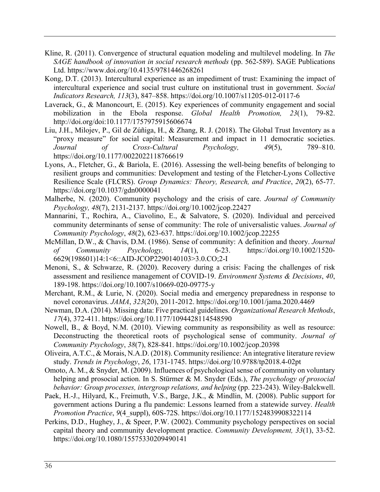- Kline, R. (2011). Convergence of structural equation modeling and multilevel modeling. In *The SAGE handbook of innovation in social research methods* (pp. 562-589). SAGE Publications Ltd. https://www.doi.org/10.4135/9781446268261
- Kong, D.T. (2013). Intercultural experience as an impediment of trust: Examining the impact of intercultural experience and social trust culture on institutional trust in government. *Social Indicators Research, 113*(3), 847–858. https://doi.org/10.1007/s11205-012-0117-6
- Laverack, G., & Manoncourt, E. (2015). Key experiences of community engagement and social mobilization in the Ebola response. *Global Health Promotion, 23*(1), 79-82. http://doi.org/doi:10.1177/1757975915606674
- Liu, J.H., Milojev, P., Gil de Zúñiga, H., & Zhang, R. J. (2018). The Global Trust Inventory as a "proxy measure" for social capital: Measurement and impact in 11 democratic societies. *Journal of Cross-Cultural Psychology, 49*(5), 789–810. https://doi.org/10.1177/0022022118766619
- Lyons, A., Fletcher, G., & Bariola, E. (2016). Assessing the well-being benefits of belonging to resilient groups and communities: Development and testing of the Fletcher-Lyons Collective Resilience Scale (FLCRS). *Group Dynamics: Theory, Research, and Practice*, *20*(2), 65-77. https://doi.org/10.1037/gdn0000041
- Malherbe, N. (2020). Community psychology and the crisis of care. *Journal of Community Psychology, 48*(7), 2131-2137. https://doi.org/10.1002/jcop.22427
- Mannarini, T., Rochira, A., Ciavolino, E., & Salvatore, S. (2020). Individual and perceived community determinants of sense of community: The role of universalistic values. *Journal of Community Psychology*, *48*(2), 623-637. https://doi.org/10.1002/jcop.22255
- McMillan, D.W., & Chavis, D.M. (1986). Sense of community: A definition and theory. *Journal of Community Psychology, 14*(1), 6-23. https://doi.org/10.1002/1520- 6629(198601)14:1<6::AID-JCOP2290140103>3.0.CO;2-I
- Menoni, S., & Schwarze, R. (2020). Recovery during a crisis: Facing the challenges of risk assessment and resilience management of COVID-19. *Environment Systems & Decisions*, *40*, 189-198. https://doi.org/10.1007/s10669-020-09775-y
- Merchant, R.M., & Lurie, N. (2020). Social media and emergency preparedness in response to novel coronavirus. *JAMA*, *323*(20), 2011-2012. https://doi.org/10.1001/jama.2020.4469
- Newman, D.A. (2014). Missing data: Five practical guidelines. *Organizational Research Methods*, *17*(4), 372-411. https://doi.org/10.1177/1094428114548590
- Nowell, B., & Boyd, N.M. (2010). Viewing community as responsibility as well as resource: Deconstructing the theoretical roots of psychological sense of community. *Journal of Community Psychology*, *38*(7), 828-841. https://doi.org/10.1002/jcop.20398
- Oliveira, A.T.C., & Morais, N.A.D. (2018). Community resilience: An integrative literature review study. *Trends in Psychology*, *26*, 1731-1745. https://doi.org/10.9788/tp2018.4-02pt
- Omoto, A. M., & Snyder, M. (2009). Influences of psychological sense of community on voluntary helping and prosocial action. In S. Stürmer & M. Snyder (Eds.), *The psychology of prosocial behavior: Group processes, intergroup relations, and helping* (pp. 223-243). Wiley-Balckwell.
- Paek, H.-J., Hilyard, K., Freimuth, V.S., Barge, J.K., & Mindlin, M. (2008). Public support for government actions During a flu pandemic: Lessons learned from a statewide survey. *Health Promotion Practice*, *9*(4\_suppl), 60S-72S. https://doi.org/10.1177/1524839908322114
- Perkins, D.D., Hughey, J., & Speer, P.W. (2002). Community psychology perspectives on social capital theory and community development practice. *Community Development, 33*(1), 33-52. https://doi.org/10.1080/15575330209490141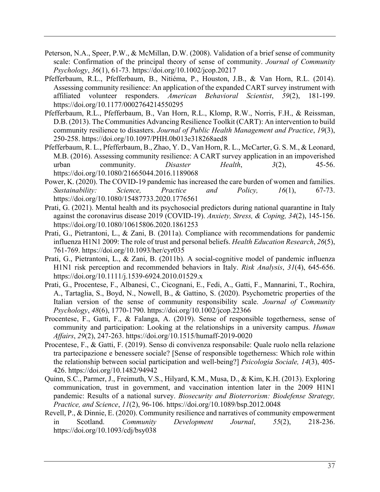- Peterson, N.A., Speer, P.W., & McMillan, D.W. (2008). Validation of a brief sense of community scale: Confirmation of the principal theory of sense of community. *Journal of Community Psychology*, *36*(1), 61-73. https://doi.org/10.1002/jcop.20217
- Pfefferbaum, R.L., Pfefferbaum, B., Nitiéma, P., Houston, J.B., & Van Horn, R.L. (2014). Assessing community resilience: An application of the expanded CART survey instrument with affiliated volunteer responders. *American Behavioral Scientist*, *59*(2), 181-199. https://doi.org/10.1177/0002764214550295
- Pfefferbaum, R.L., Pfefferbaum, B., Van Horn, R.L., Klomp, R.W., Norris, F.H., & Reissman, D.B. (2013). The Communities Advancing Resilience Toolkit (CART): An intervention to build community resilience to disasters. *Journal of Public Health Management and Practice*, *19*(3), 250-258. https://doi.org/10.1097/PHH.0b013e318268aed8
- Pfefferbaum, R. L., Pfefferbaum, B., Zhao, Y. D., Van Horn, R. L., McCarter, G. S. M., & Leonard, M.B. (2016). Assessing community resilience: A CART survey application in an impoverished urban community. *Disaster Health*, *3*(2), 45-56. https://doi.org/10.1080/21665044.2016.1189068
- Power, K. (2020). The COVID-19 pandemic has increased the care burden of women and families. *Sustainability: Science, Practice and Policy, 16*(1), 67-73. https://doi.org/10.1080/15487733.2020.1776561
- Prati, G. (2021). Mental health and its psychosocial predictors during national quarantine in Italy against the coronavirus disease 2019 (COVID‐19). *Anxiety, Stress, & Coping, 34*(2), 145-156. https://doi.org/10.1080/10615806.2020.1861253
- Prati, G., Pietrantoni, L., & Zani, B. (2011a). Compliance with recommendations for pandemic influenza H1N1 2009: The role of trust and personal beliefs. *Health Education Research*, *26*(5), 761-769. https://doi.org/10.1093/her/cyr035
- Prati, G., Pietrantoni, L., & Zani, B. (2011b). A social-cognitive model of pandemic influenza H1N1 risk perception and recommended behaviors in Italy. *Risk Analysis*, *31*(4), 645-656. https://doi.org/10.1111/j.1539-6924.2010.01529.x
- Prati, G., Procentese, F., Albanesi, C., Cicognani, E., Fedi, A., Gatti, F., Mannarini, T., Rochira, A., Tartaglia, S., Boyd, N., Nowell, B., & Gattino, S. (2020). Psychometric properties of the Italian version of the sense of community responsibility scale. *Journal of Community Psychology*, *48*(6), 1770-1790. https://doi.org/10.1002/jcop.22366
- Procentese, F., Gatti, F., & Falanga, A. (2019). Sense of responsible togetherness, sense of community and participation: Looking at the relationships in a university campus. *Human Affairs*, *29*(2), 247-263. https://doi.org/10.1515/humaff-2019-0020
- Procentese, F., & Gatti, F. (2019). Senso di convivenza responsabile: Quale ruolo nella relazione tra partecipazione e benessere sociale? [Sense of responsible togetherness: Which role within the relationship between social participation and well-being?] *Psicologia Sociale, 14*(3), 405- 426. https://doi.org/10.1482/94942
- Quinn, S.C., Parmer, J., Freimuth, V.S., Hilyard, K.M., Musa, D., & Kim, K.H. (2013). Exploring communication, trust in government, and vaccination intention later in the 2009 H1N1 pandemic: Results of a national survey. *Biosecurity and Bioterrorism: Biodefense Strategy, Practice, and Science*, *11*(2), 96-106. https://doi.org/10.1089/bsp.2012.0048
- Revell, P., & Dinnie, E. (2020). Community resilience and narratives of community empowerment in Scotland. *Community Development Journal*, *55*(2), 218-236. https://doi.org/10.1093/cdj/bsy038